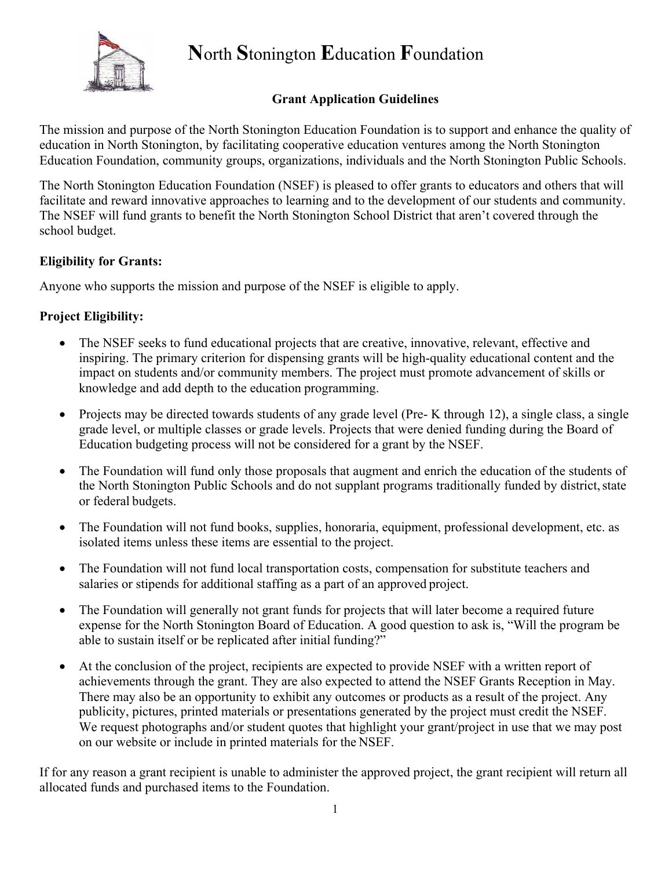

# **Grant Application Guidelines**

The mission and purpose of the North Stonington Education Foundation is to support and enhance the quality of education in North Stonington, by facilitating cooperative education ventures among the North Stonington Education Foundation, community groups, organizations, individuals and the North Stonington Public Schools.

The North Stonington Education Foundation (NSEF) is pleased to offer grants to educators and others that will facilitate and reward innovative approaches to learning and to the development of our students and community. The NSEF will fund grants to benefit the North Stonington School District that aren't covered through the school budget.

# **Eligibility for Grants:**

Anyone who supports the mission and purpose of the NSEF is eligible to apply.

# **Project Eligibility:**

- The NSEF seeks to fund educational projects that are creative, innovative, relevant, effective and inspiring. The primary criterion for dispensing grants will be high-quality educational content and the impact on students and/or community members. The project must promote advancement of skills or knowledge and add depth to the education programming.
- Projects may be directed towards students of any grade level (Pre- K through 12), a single class, a single grade level, or multiple classes or grade levels. Projects that were denied funding during the Board of Education budgeting process will not be considered for a grant by the NSEF.
- The Foundation will fund only those proposals that augment and enrich the education of the students of the North Stonington Public Schools and do not supplant programs traditionally funded by district, state or federal budgets.
- The Foundation will not fund books, supplies, honoraria, equipment, professional development, etc. as isolated items unless these items are essential to the project.
- The Foundation will not fund local transportation costs, compensation for substitute teachers and salaries or stipends for additional staffing as a part of an approved project.
- The Foundation will generally not grant funds for projects that will later become a required future expense for the North Stonington Board of Education. A good question to ask is, "Will the program be able to sustain itself or be replicated after initial funding?"
- At the conclusion of the project, recipients are expected to provide NSEF with a written report of achievements through the grant. They are also expected to attend the NSEF Grants Reception in May. There may also be an opportunity to exhibit any outcomes or products as a result of the project. Any publicity, pictures, printed materials or presentations generated by the project must credit the NSEF. We request photographs and/or student quotes that highlight your grant/project in use that we may post on our website or include in printed materials for the NSEF.

If for any reason a grant recipient is unable to administer the approved project, the grant recipient will return all allocated funds and purchased items to the Foundation.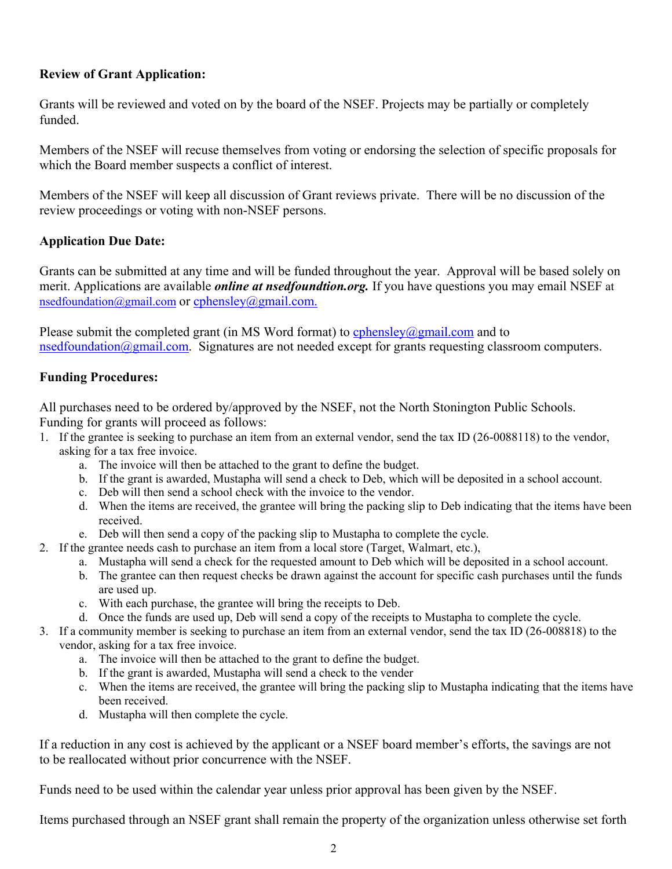## **Review of Grant Application:**

Grants will be reviewed and voted on by the board of the NSEF. Projects may be partially or completely funded.

Members of the NSEF will recuse themselves from voting or endorsing the selection of specific proposals for which the Board member suspects a conflict of interest.

Members of the NSEF will keep all discussion of Grant reviews private. There will be no discussion of the review proceedings or voting with non-NSEF persons.

## **Application Due Date:**

Grants can be submitted at any time and will be funded throughout the year. Approval will be based solely on merit. Applications are available *online at nsedfoundtion.org.* If you have questions you may email NSEF at nsedfoundation@gmail.com or cphensley@gmail.com.

Please submit the completed grant (in MS Word format) to  $\frac{\text{cphensley}(a\text{gmail.com})}{\text{com}}$  and to nsedfoundation@gmail.com. Signatures are not needed except for grants requesting classroom computers.

## **Funding Procedures:**

All purchases need to be ordered by/approved by the NSEF, not the North Stonington Public Schools. Funding for grants will proceed as follows:

- 1. If the grantee is seeking to purchase an item from an external vendor, send the tax ID (26-0088118) to the vendor, asking for a tax free invoice.
	- a. The invoice will then be attached to the grant to define the budget.
	- b. If the grant is awarded, Mustapha will send a check to Deb, which will be deposited in a school account.
	- c. Deb will then send a school check with the invoice to the vendor.
	- d. When the items are received, the grantee will bring the packing slip to Deb indicating that the items have been received.
	- e. Deb will then send a copy of the packing slip to Mustapha to complete the cycle.
- 2. If the grantee needs cash to purchase an item from a local store (Target, Walmart, etc.),
	- a. Mustapha will send a check for the requested amount to Deb which will be deposited in a school account.
	- b. The grantee can then request checks be drawn against the account for specific cash purchases until the funds are used up.
	- c. With each purchase, the grantee will bring the receipts to Deb.
	- d. Once the funds are used up, Deb will send a copy of the receipts to Mustapha to complete the cycle.
- 3. If a community member is seeking to purchase an item from an external vendor, send the tax ID (26-008818) to the vendor, asking for a tax free invoice.
	- a. The invoice will then be attached to the grant to define the budget.
	- b. If the grant is awarded, Mustapha will send a check to the vender
	- c. When the items are received, the grantee will bring the packing slip to Mustapha indicating that the items have been received.
	- d. Mustapha will then complete the cycle.

If a reduction in any cost is achieved by the applicant or a NSEF board member's efforts, the savings are not to be reallocated without prior concurrence with the NSEF.

Funds need to be used within the calendar year unless prior approval has been given by the NSEF.

Items purchased through an NSEF grant shall remain the property of the organization unless otherwise set forth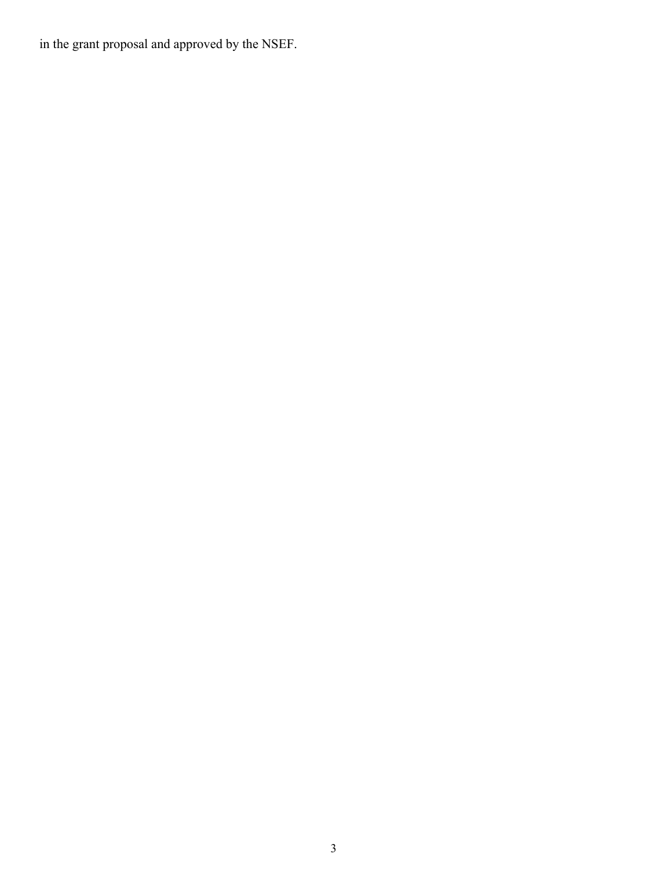in the grant proposal and approved by the NSEF.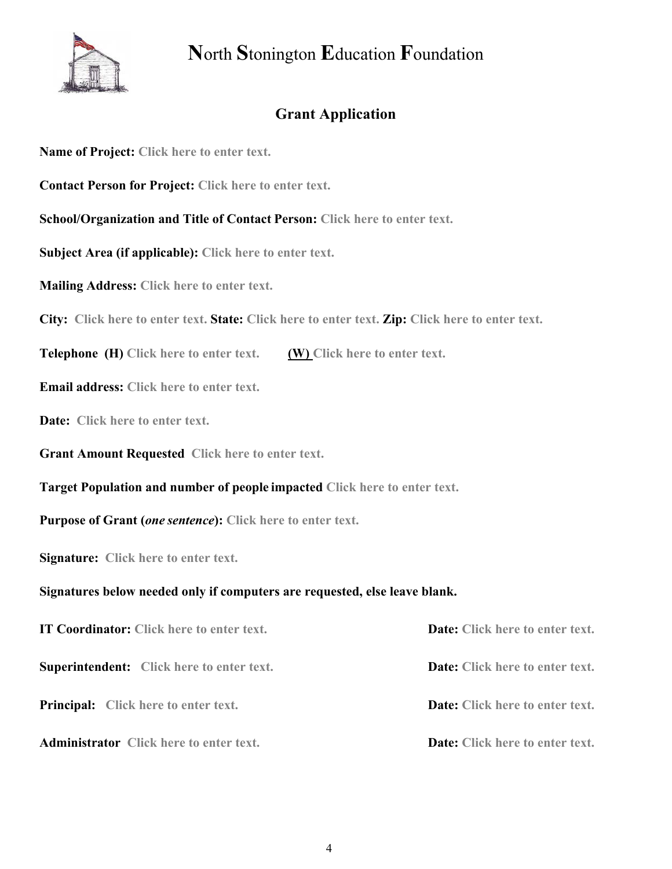

# **Grant Application**

**Name of Project: Click here to enter text.**

**Contact Person for Project: Click here to enter text.**

**School/Organization and Title of Contact Person: Click here to enter text.**

**Subject Area (if applicable): Click here to enter text.**

**Mailing Address: Click here to enter text.**

**City: Click here to enter text. State: Click here to enter text. Zip: Click here to enter text.**

**Telephone (H) Click here to enter text. (W) Click here to enter text.**

**Email address: Click here to enter text.**

**Date: Click here to enter text.**

**Grant Amount Requested Click here to enter text.**

**Target Population and number of people impacted Click here to enter text.**

**Purpose of Grant (***one sentence***): Click here to enter text.**

**Signature: Click here to enter text.**

#### **Signatures below needed only if computers are requested, else leave blank.**

| <b>IT Coordinator:</b> Click here to enter text. | <b>Date:</b> Click here to enter text. |
|--------------------------------------------------|----------------------------------------|
| <b>Superintendent:</b> Click here to enter text. | <b>Date:</b> Click here to enter text. |
| <b>Principal:</b> Click here to enter text.      | <b>Date:</b> Click here to enter text. |
| <b>Administrator</b> Click here to enter text.   | <b>Date:</b> Click here to enter text. |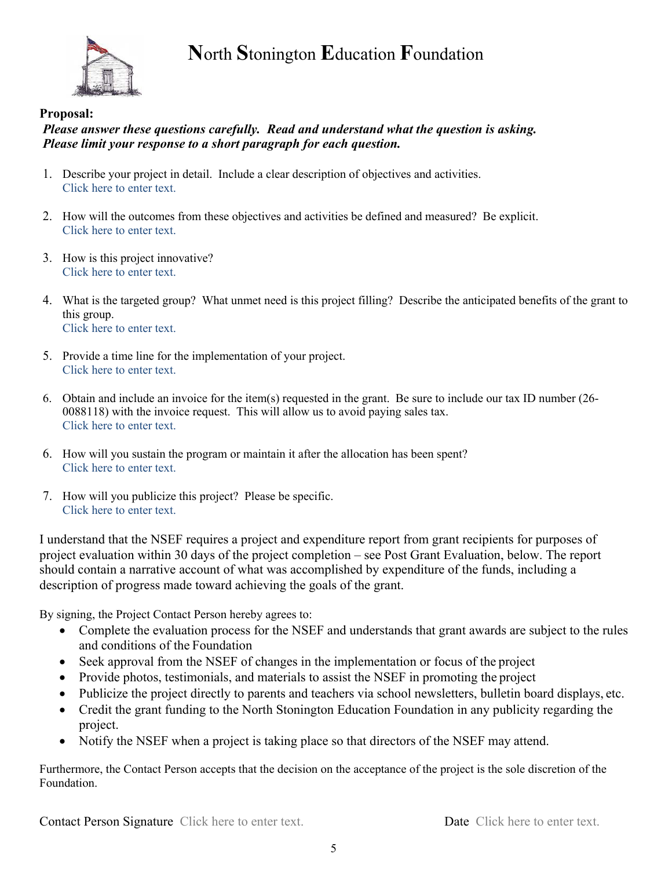

### **Proposal:**

## *Please answer these questions carefully. Read and understand what the question is asking. Please limit your response to a short paragraph for each question.*

- 1. Describe your project in detail. Include a clear description of objectives and activities. Click here to enter text.
- 2. How will the outcomes from these objectives and activities be defined and measured? Be explicit. Click here to enter text.
- 3. How is this project innovative? Click here to enter text.
- 4. What is the targeted group? What unmet need is this project filling? Describe the anticipated benefits of the grant to this group. Click here to enter text.
- 5. Provide a time line for the implementation of your project. Click here to enter text.
- 6. Obtain and include an invoice for the item(s) requested in the grant. Be sure to include our tax ID number (26- 0088118) with the invoice request. This will allow us to avoid paying sales tax. Click here to enter text.
- 6. How will you sustain the program or maintain it after the allocation has been spent? Click here to enter text.
- 7. How will you publicize this project? Please be specific. Click here to enter text.

I understand that the NSEF requires a project and expenditure report from grant recipients for purposes of project evaluation within 30 days of the project completion – see Post Grant Evaluation, below. The report should contain a narrative account of what was accomplished by expenditure of the funds, including a description of progress made toward achieving the goals of the grant.

By signing, the Project Contact Person hereby agrees to:

- Complete the evaluation process for the NSEF and understands that grant awards are subject to the rules and conditions of the Foundation
- Seek approval from the NSEF of changes in the implementation or focus of the project
- Provide photos, testimonials, and materials to assist the NSEF in promoting the project
- Publicize the project directly to parents and teachers via school newsletters, bulletin board displays, etc.
- Credit the grant funding to the North Stonington Education Foundation in any publicity regarding the project.
- Notify the NSEF when a project is taking place so that directors of the NSEF may attend.

Furthermore, the Contact Person accepts that the decision on the acceptance of the project is the sole discretion of the Foundation.

Contact Person Signature Click here to enter text. Date Click here to enter text.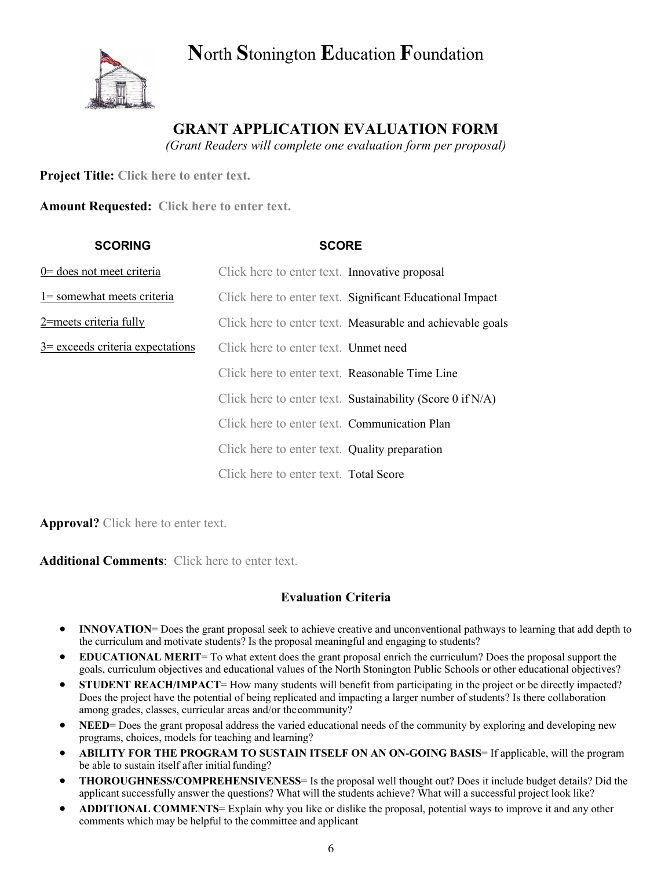

# **GRANT APPLICATION EVALUATION FORM**

*(Grant Readers will complete one evaluation form per proposal)*

**Project Title: Click here to enter text.**

**Amount Requested: Click here to enter text.**

| <b>SCORING</b>                              | <b>SCORE</b>                                   |                                                                |
|---------------------------------------------|------------------------------------------------|----------------------------------------------------------------|
| $0$ = does not meet criteria                | Click here to enter text. Innovative proposal  |                                                                |
| $1 =$ somewhat meets criteria               |                                                | Click here to enter text. Significant Educational Impact       |
| 2=meets criteria fully                      |                                                | Click here to enter text. Measurable and achievable goals      |
| $\frac{3}{2}$ exceeds criteria expectations | Click here to enter text. Unmet need           |                                                                |
|                                             | Click here to enter text. Reasonable Time Line |                                                                |
|                                             |                                                | Click here to enter text. Sustainability (Score $0$ if $N/A$ ) |
|                                             | Click here to enter text. Communication Plan   |                                                                |
|                                             | Click here to enter text. Quality preparation  |                                                                |
|                                             | Click here to enter text. Total Score          |                                                                |

**Approval?** Click here to enter text.

**Additional Comments**: Click here to enter text.

# **Evaluation Criteria**

- **INNOVATION**= Does the grant proposal seek to achieve creative and unconventional pathways to learning that add depth to the curriculum and motivate students? Is the proposal meaningful and engaging to students?
- **EDUCATIONAL MERIT**= To what extent does the grant proposal enrich the curriculum? Does the proposal support the goals, curriculum objectives and educational values of the North Stonington Public Schools or other educational objectives?
- **STUDENT REACH/IMPACT**= How many students will benefit from participating in the project or be directly impacted? Does the project have the potential of being replicated and impacting a larger number of students? Is there collaboration among grades, classes, curricular areas and/or thecommunity?
- **NEED**= Does the grant proposal address the varied educational needs of the community by exploring and developing new programs, choices, models for teaching and learning?
- **ABILITY FOR THE PROGRAM TO SUSTAIN ITSELF ON AN ON-GOING BASIS**= If applicable, will the program be able to sustain itself after initial funding?
- **THOROUGHNESS/COMPREHENSIVENESS**= Is the proposal well thought out? Does it include budget details? Did the applicant successfully answer the questions? What will the students achieve? What will a successful project look like?
- **ADDITIONAL COMMENTS**= Explain why you like or dislike the proposal, potential ways to improve it and any other comments which may be helpful to the committee and applicant